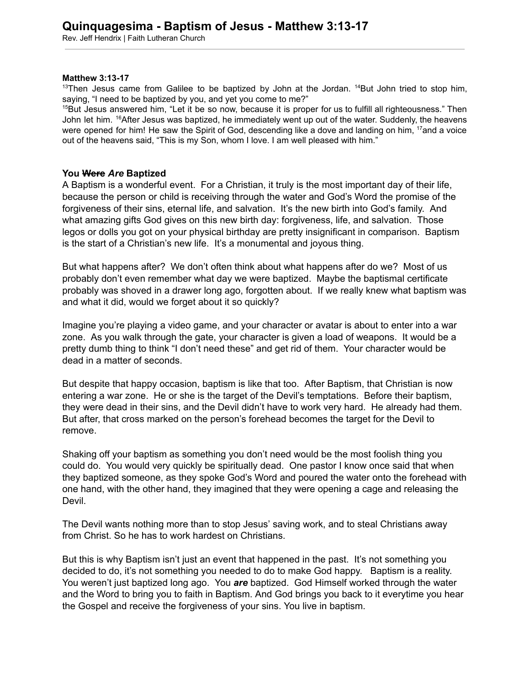Rev. Jeff Hendrix | Faith Lutheran Church

## **Matthew 3:13-17**

 $13$ Then Jesus came from Galilee to be baptized by John at the Jordan.  $14$ But John tried to stop him, saying, "I need to be baptized by you, and yet you come to me?"

<sup>15</sup>But Jesus answered him, "Let it be so now, because it is proper for us to fulfill all righteousness." Then John let him. <sup>16</sup>After Jesus was baptized, he immediately went up out of the water. Suddenly, the heavens were opened for him! He saw the Spirit of God, descending like a dove and landing on him, <sup>17</sup>and a voice out of the heavens said, "This is my Son, whom I love. I am well pleased with him."

## **You Were** *Are* **Baptized**

A Baptism is a wonderful event. For a Christian, it truly is the most important day of their life, because the person or child is receiving through the water and God's Word the promise of the forgiveness of their sins, eternal life, and salvation. It's the new birth into God's family. And what amazing gifts God gives on this new birth day: forgiveness, life, and salvation. Those legos or dolls you got on your physical birthday are pretty insignificant in comparison. Baptism is the start of a Christian's new life. It's a monumental and joyous thing.

But what happens after? We don't often think about what happens after do we? Most of us probably don't even remember what day we were baptized. Maybe the baptismal certificate probably was shoved in a drawer long ago, forgotten about. If we really knew what baptism was and what it did, would we forget about it so quickly?

Imagine you're playing a video game, and your character or avatar is about to enter into a war zone. As you walk through the gate, your character is given a load of weapons. It would be a pretty dumb thing to think "I don't need these" and get rid of them. Your character would be dead in a matter of seconds.

But despite that happy occasion, baptism is like that too. After Baptism, that Christian is now entering a war zone. He or she is the target of the Devil's temptations. Before their baptism, they were dead in their sins, and the Devil didn't have to work very hard. He already had them. But after, that cross marked on the person's forehead becomes the target for the Devil to remove.

Shaking off your baptism as something you don't need would be the most foolish thing you could do. You would very quickly be spiritually dead. One pastor I know once said that when they baptized someone, as they spoke God's Word and poured the water onto the forehead with one hand, with the other hand, they imagined that they were opening a cage and releasing the Devil.

The Devil wants nothing more than to stop Jesus' saving work, and to steal Christians away from Christ. So he has to work hardest on Christians.

But this is why Baptism isn't just an event that happened in the past. It's not something you decided to do, it's not something you needed to do to make God happy. Baptism is a reality. You weren't just baptized long ago. You *are* baptized. God Himself worked through the water and the Word to bring you to faith in Baptism. And God brings you back to it everytime you hear the Gospel and receive the forgiveness of your sins. You live in baptism.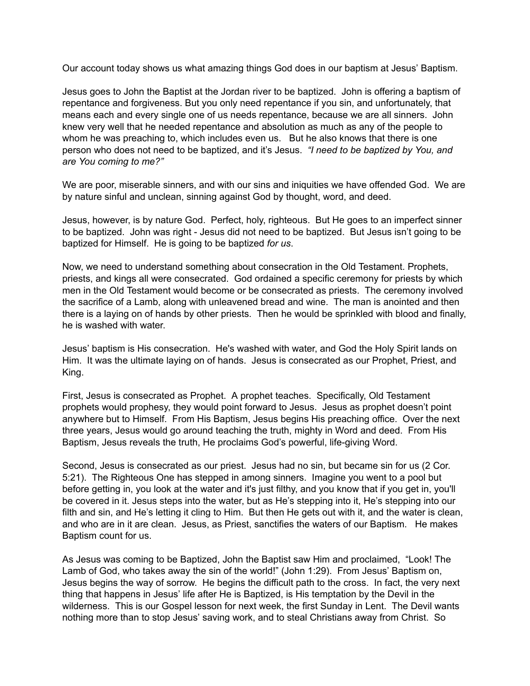Our account today shows us what amazing things God does in our baptism at Jesus' Baptism.

Jesus goes to John the Baptist at the Jordan river to be baptized. John is offering a baptism of repentance and forgiveness. But you only need repentance if you sin, and unfortunately, that means each and every single one of us needs repentance, because we are all sinners. John knew very well that he needed repentance and absolution as much as any of the people to whom he was preaching to, which includes even us. But he also knows that there is one person who does not need to be baptized, and it's Jesus. *"I need to be baptized by You, and are You coming to me?"*

We are poor, miserable sinners, and with our sins and iniquities we have offended God. We are by nature sinful and unclean, sinning against God by thought, word, and deed.

Jesus, however, is by nature God. Perfect, holy, righteous. But He goes to an imperfect sinner to be baptized. John was right - Jesus did not need to be baptized. But Jesus isn't going to be baptized for Himself. He is going to be baptized *for us*.

Now, we need to understand something about consecration in the Old Testament. Prophets, priests, and kings all were consecrated. God ordained a specific ceremony for priests by which men in the Old Testament would become or be consecrated as priests. The ceremony involved the sacrifice of a Lamb, along with unleavened bread and wine. The man is anointed and then there is a laying on of hands by other priests. Then he would be sprinkled with blood and finally, he is washed with water.

Jesus' baptism is His consecration. He's washed with water, and God the Holy Spirit lands on Him. It was the ultimate laying on of hands. Jesus is consecrated as our Prophet, Priest, and King.

First, Jesus is consecrated as Prophet. A prophet teaches. Specifically, Old Testament prophets would prophesy, they would point forward to Jesus. Jesus as prophet doesn't point anywhere but to Himself. From His Baptism, Jesus begins His preaching office. Over the next three years, Jesus would go around teaching the truth, mighty in Word and deed. From His Baptism, Jesus reveals the truth, He proclaims God's powerful, life-giving Word.

Second, Jesus is consecrated as our priest. Jesus had no sin, but became sin for us (2 Cor. 5:21). The Righteous One has stepped in among sinners. Imagine you went to a pool but before getting in, you look at the water and it's just filthy, and you know that if you get in, you'll be covered in it. Jesus steps into the water, but as He's stepping into it, He's stepping into our filth and sin, and He's letting it cling to Him. But then He gets out with it, and the water is clean, and who are in it are clean. Jesus, as Priest, sanctifies the waters of our Baptism. He makes Baptism count for us.

As Jesus was coming to be Baptized, John the Baptist saw Him and proclaimed, "Look! The Lamb of God, who takes away the sin of the world!" (John 1:29). From Jesus' Baptism on, Jesus begins the way of sorrow. He begins the difficult path to the cross. In fact, the very next thing that happens in Jesus' life after He is Baptized, is His temptation by the Devil in the wilderness. This is our Gospel lesson for next week, the first Sunday in Lent. The Devil wants nothing more than to stop Jesus' saving work, and to steal Christians away from Christ. So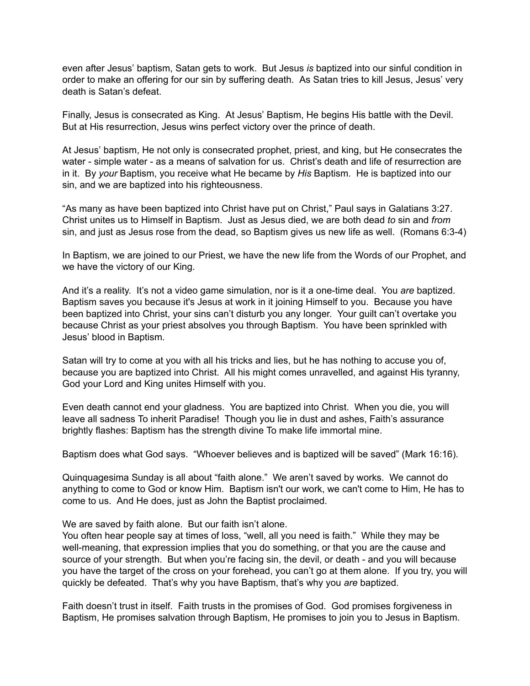even after Jesus' baptism, Satan gets to work. But Jesus *is* baptized into our sinful condition in order to make an offering for our sin by suffering death. As Satan tries to kill Jesus, Jesus' very death is Satan's defeat.

Finally, Jesus is consecrated as King. At Jesus' Baptism, He begins His battle with the Devil. But at His resurrection, Jesus wins perfect victory over the prince of death.

At Jesus' baptism, He not only is consecrated prophet, priest, and king, but He consecrates the water - simple water - as a means of salvation for us. Christ's death and life of resurrection are in it. By *your* Baptism, you receive what He became by *His* Baptism. He is baptized into our sin, and we are baptized into his righteousness.

"As many as have been baptized into Christ have put on Christ," Paul says in Galatians 3:27. Christ unites us to Himself in Baptism. Just as Jesus died, we are both dead *to* sin and *from* sin, and just as Jesus rose from the dead, so Baptism gives us new life as well. (Romans 6:3-4)

In Baptism, we are joined to our Priest, we have the new life from the Words of our Prophet, and we have the victory of our King.

And it's a reality. It's not a video game simulation, nor is it a one-time deal. You are baptized. Baptism saves you because it's Jesus at work in it joining Himself to you. Because you have been baptized into Christ, your sins can't disturb you any longer. Your guilt can't overtake you because Christ as your priest absolves you through Baptism. You have been sprinkled with Jesus' blood in Baptism.

Satan will try to come at you with all his tricks and lies, but he has nothing to accuse you of, because you are baptized into Christ. All his might comes unravelled, and against His tyranny, God your Lord and King unites Himself with you.

Even death cannot end your gladness. You are baptized into Christ. When you die, you will leave all sadness To inherit Paradise! Though you lie in dust and ashes, Faith's assurance brightly flashes: Baptism has the strength divine To make life immortal mine.

Baptism does what God says. "Whoever believes and is baptized will be saved" (Mark 16:16).

Quinquagesima Sunday is all about "faith alone." We aren't saved by works. We cannot do anything to come to God or know Him. Baptism isn't our work, we can't come to Him, He has to come to us. And He does, just as John the Baptist proclaimed.

We are saved by faith alone. But our faith isn't alone.

You often hear people say at times of loss, "well, all you need is faith." While they may be well-meaning, that expression implies that you do something, or that you are the cause and source of your strength. But when you're facing sin, the devil, or death - and you will because you have the target of the cross on your forehead, you can't go at them alone. If you try, you will quickly be defeated. That's why you have Baptism, that's why you *are* baptized.

Faith doesn't trust in itself. Faith trusts in the promises of God. God promises forgiveness in Baptism, He promises salvation through Baptism, He promises to join you to Jesus in Baptism.